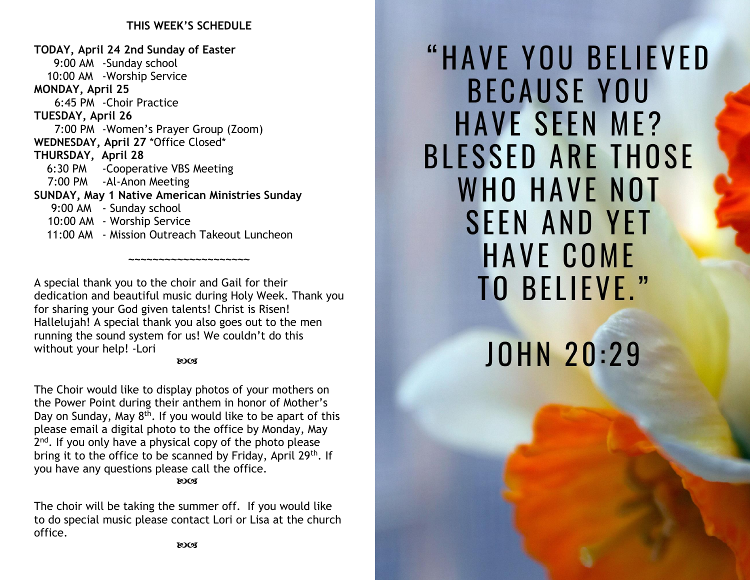#### **THIS WEEK'S SCHEDULE**

**TODAY, April 24 2nd Sunday of Easter** 9:00 AM -Sunday school 10:00 AM -Worship Service **MONDAY, April 25** 6:45 PM -Choir Practice **TUESDAY, April 26** 7:00 PM -Women's Prayer Group (Zoom) **WEDNESDAY, April 27** \*Office Closed\* **THURSDAY, April 28** 6:30 PM -Cooperative VBS Meeting 7:00 PM -Al-Anon Meeting **SUNDAY, May 1 Native American Ministries Sunday** 9:00 AM - Sunday school 10:00 AM - Worship Service 11:00 AM - Mission Outreach Takeout Luncheon

A special thank you to the choir and Gail for their dedication and beautiful music during Holy Week. Thank you for sharing your God given talents! Christ is Risen! Hallelujah! A special thank you also goes out to the men running the sound system for us! We couldn't do this without your help! -Lori

**~~~~~~~~~~~~~~~~~~~~**

#### **ROCS**

The Choir would like to display photos of your mothers on the Power Point during their anthem in honor of Mother's Day on Sunday, May 8<sup>th</sup>. If you would like to be apart of this please email a digital photo to the office by Monday, May 2<sup>nd</sup>. If you only have a physical copy of the photo please bring it to the office to be scanned by Friday, April 29<sup>th</sup>. If you have any questions please call the office.

**ROCK** 

The choir will be taking the summer off. If you would like to do special music please contact Lori or Lisa at the church office.

"HAVE YOU BELIEVED **BECAUSE YOU HAVE SEEN ME? BLESSED ARE THOSE WHO HAVE NOT SEEN AND YET HAVE COME TO BELIEVE."** 

# **JOHN 20:29**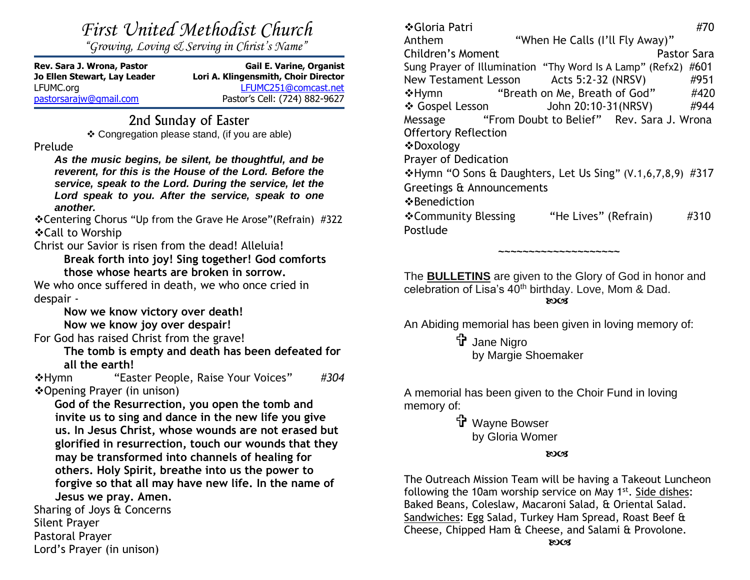*First United Methodist Church*

*"Growing, Loving & Serving in Christ's Name"*

| Rev. Sara J. Wrona, Pastor<br>Jo Ellen Stewart, Lay Leader | <b>Gail E. Varine, Organist</b><br>Lori A. Klingensmith, Choir Director |
|------------------------------------------------------------|-------------------------------------------------------------------------|
| LFUMC.org                                                  | LFUMC251@comcast.net                                                    |
| pastorsarajw@gmail.com                                     | Pastor's Cell: (724) 882-9627                                           |

### 2nd Sunday of Easter

❖ Congregation please stand, (if you are able)

#### Prelude

*As the music begins, be silent, be thoughtful, and be reverent, for this is the House of the Lord. Before the service, speak to the Lord. During the service, let the Lord speak to you. After the service, speak to one another.*

❖Centering Chorus "Up from the Grave He Arose"(Refrain) #322 ❖Call to Worship

Christ our Savior is risen from the dead! Alleluia!

**Break forth into joy! Sing together! God comforts those whose hearts are broken in sorrow.**

We who once suffered in death, we who once cried in despair -

**Now we know victory over death!**

**Now we know joy over despair!**

For God has raised Christ from the grave!

**The tomb is empty and death has been defeated for all the earth!**

❖Hymn "Easter People, Raise Your Voices" *#304* ❖Opening Prayer (in unison)

**God of the Resurrection, you open the tomb and invite us to sing and dance in the new life you give us. In Jesus Christ, whose wounds are not erased but glorified in resurrection, touch our wounds that they may be transformed into channels of healing for others. Holy Spirit, breathe into us the power to forgive so that all may have new life. In the name of Jesus we pray. Amen.**

Sharing of Joys & Concerns Silent Prayer Pastoral Prayer Lord's Prayer (in unison)

❖Gloria Patri #70 Anthem "When He Calls (I'll Fly Away)" Children's Moment **Pastor Sara** Sung Prayer of Illumination "Thy Word Is A Lamp" (Refx2) #601 New Testament Lesson Acts 5:2-32 (NRSV) #951 ❖Hymn "Breath on Me, Breath of God" #420 ❖ Gospel Lesson John 20:10-31(NRSV) #944 Message "From Doubt to Belief" Rev. Sara J. Wrona Offertory Reflection ❖Doxology Prayer of Dedication ❖Hymn "O Sons & Daughters, Let Us Sing" (V.1,6,7,8,9) #317 Greetings & Announcements ❖Benediction ❖Community Blessing "He Lives" (Refrain) #310 Postlude

The **BULLETINS** are given to the Glory of God in honor and celebration of Lisa's 40<sup>th</sup> birthday. Love, Mom & Dad. **ROCS** 

**~~~~~~~~~~~~~~~~~~~~**

An Abiding memorial has been given in loving memory of:

 Jane Nigro by Margie Shoemaker

A memorial has been given to the Choir Fund in loving memory of:

> t Wayne Bowser by Gloria Womer

#### **ROCK**

The Outreach Mission Team will be having a Takeout Luncheon following the 10am worship service on May 1<sup>st</sup>. Side dishes: Baked Beans, Coleslaw, Macaroni Salad, & Oriental Salad. Sandwiches: Egg Salad, Turkey Ham Spread, Roast Beef & Cheese, Chipped Ham & Cheese, and Salami & Provolone. **Example 2003**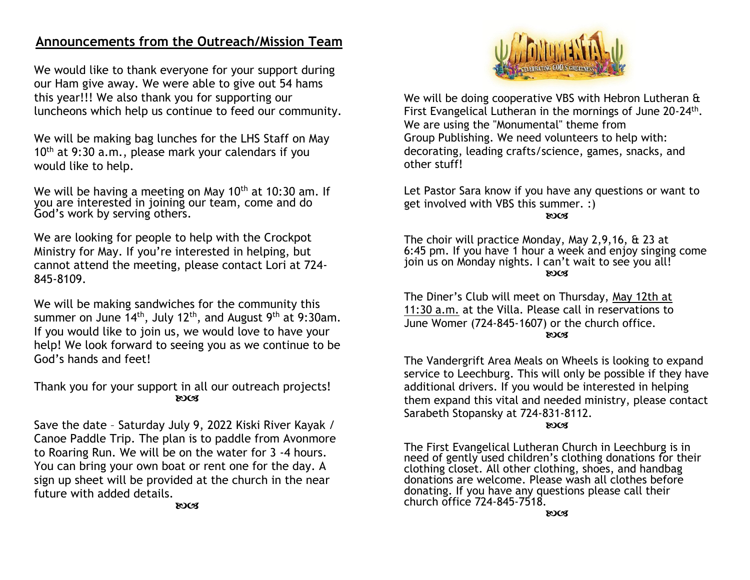## **Announcements from the Outreach/Mission Team**

We would like to thank everyone for your support during our Ham give away. We were able to give out 54 hams this year!!! We also thank you for supporting our luncheons which help us continue to feed our community.

We will be making bag lunches for the LHS Staff on May 10<sup>th</sup> at 9:30 a.m., please mark your calendars if you would like to help.

We will be having a meeting on May  $10^{th}$  at  $10:30$  am. If you are interested in joining our team, come and do God's work by serving others.

We are looking for people to help with the Crockpot Ministry for May. If you're interested in helping, but cannot attend the meeting, please contact Lori at 724- 845-8109.

We will be making sandwiches for the community this summer on June 14<sup>th</sup>, July 12<sup>th</sup>, and August 9<sup>th</sup> at 9:30am. If you would like to join us, we would love to have your help! We look forward to seeing you as we continue to be God's hands and feet!

Thank you for your support in all our outreach projects! **ROCK** 

Save the date – Saturday July 9, 2022 Kiski River Kayak / Canoe Paddle Trip. The plan is to paddle from Avonmore to Roaring Run. We will be on the water for 3 -4 hours. You can bring your own boat or rent one for the day. A sign up sheet will be provided at the church in the near future with added details.



We will be doing cooperative VBS with Hebron Lutheran & First Evangelical Lutheran in the mornings of June 20-24<sup>th</sup>. We are using the "Monumental" theme from Group Publishing. We need volunteers to help with: decorating, leading crafts/science, games, snacks, and other stuff!

Let Pastor Sara know if you have any questions or want to get involved with VBS this summer. :)

**ROCK** 

The choir will practice Monday, May 2,9,16, & 23 at 6:45 pm. If you have 1 hour a week and enjoy singing come join us on Monday nights. I can't wait to see you all! **ROCS** 

The Diner's Club will meet on Thursday, May 12th at 11:30 a.m. at the Villa. Please call in reservations to June Womer (724-845-1607) or the church office. **ROCS** 

The Vandergrift Area Meals on Wheels is looking to expand service to Leechburg. This will only be possible if they have additional drivers. If you would be interested in helping them expand this vital and needed ministry, please contact Sarabeth Stopansky at 724-831-8112.

#### **ROCK**

The First Evangelical Lutheran Church in Leechburg is in need of gently used children's clothing donations for their clothing closet. All other clothing, shoes, and handbag donations are welcome. Please wash all clothes before donating. If you have any questions please call their church office 724-845-7518.